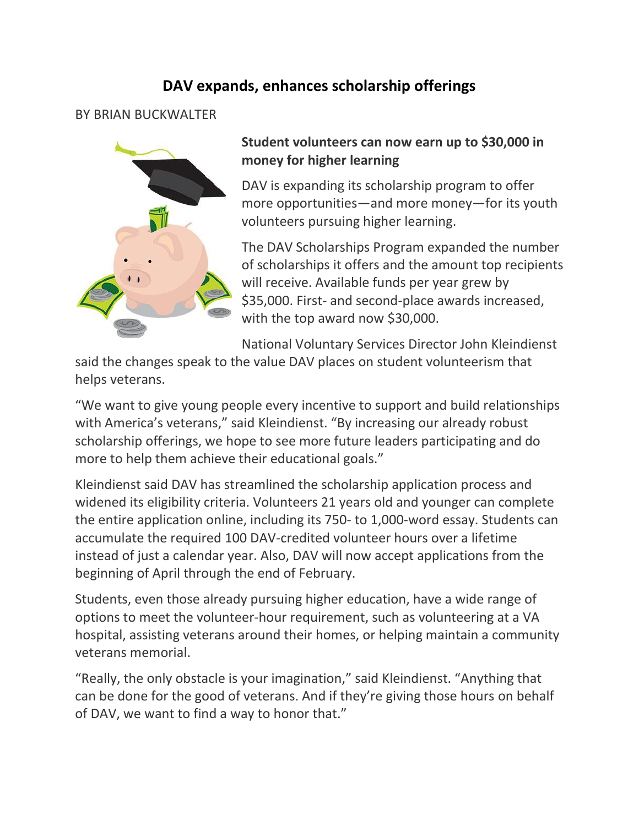## **DAV expands, enhances scholarship offerings**

BY BRIAN BUCKWALTER



## **Student volunteers can now earn up to \$30,000 in money for higher learning**

DAV is expanding its scholarship program to offer more opportunities—and more money—for its youth volunteers pursuing higher learning.

The DAV Scholarships Program expanded the number of scholarships it offers and the amount top recipients will receive. Available funds per year grew by \$35,000. First- and second-place awards increased, with the top award now \$30,000.

National Voluntary Services Director John Kleindienst

said the changes speak to the value DAV places on student volunteerism that helps veterans.

"We want to give young people every incentive to support and build relationships with America's veterans," said Kleindienst. "By increasing our already robust scholarship offerings, we hope to see more future leaders participating and do more to help them achieve their educational goals."

Kleindienst said DAV has streamlined the scholarship application process and widened its eligibility criteria. Volunteers 21 years old and younger can complete the entire application online, including its 750- to 1,000-word essay. Students can accumulate the required 100 DAV-credited volunteer hours over a lifetime instead of just a calendar year. Also, DAV will now accept applications from the beginning of April through the end of February.

Students, even those already pursuing higher education, have a wide range of options to meet the volunteer-hour requirement, such as volunteering at a VA hospital, assisting veterans around their homes, or helping maintain a community veterans memorial.

"Really, the only obstacle is your imagination," said Kleindienst. "Anything that can be done for the good of veterans. And if they're giving those hours on behalf of DAV, we want to find a way to honor that."